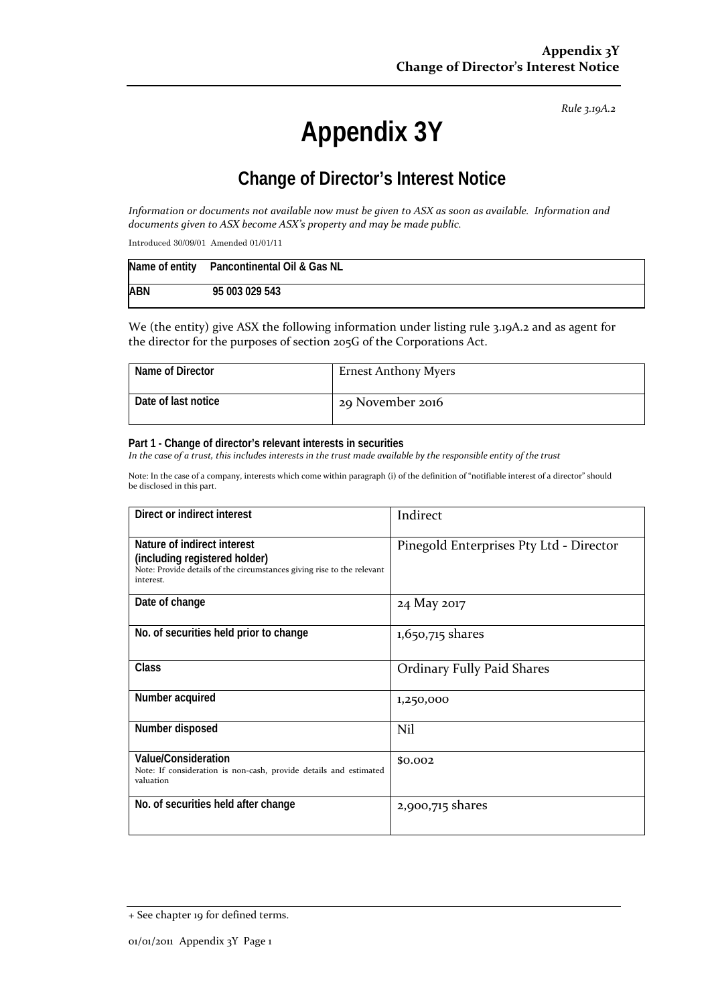*Rule 3.19A.2*

# **Appendix 3Y**

# **Change of Director's Interest Notice**

Information or documents not available now must be given to ASX as soon as available. Information and *documents given to ASX become ASX's property and may be made public.*

Introduced 30/09/01 Amended 01/01/11

|            | Name of entity Pancontinental Oil & Gas NL |
|------------|--------------------------------------------|
| <b>ABN</b> | 95 003 029 543                             |

We (the entity) give ASX the following information under listing rule 3.19A.2 and as agent for the director for the purposes of section 205G of the Corporations Act.

| Name of Director    | <b>Ernest Anthony Myers</b> |
|---------------------|-----------------------------|
| Date of last notice | 29 November 2016            |

#### **Part 1 - Change of director's relevant interests in securities**

In the case of a trust, this includes interests in the trust made available by the responsible entity of the trust

Note: In the case of a company, interests which come within paragraph (i) of the definition of "notifiable interest of a director" should be disclosed in this part.

| Direct or indirect interest                                                                                                                         | Indirect                                |  |
|-----------------------------------------------------------------------------------------------------------------------------------------------------|-----------------------------------------|--|
| Nature of indirect interest<br>(including registered holder)<br>Note: Provide details of the circumstances giving rise to the relevant<br>interest. | Pinegold Enterprises Pty Ltd - Director |  |
| Date of change                                                                                                                                      | 24 May 2017                             |  |
| No. of securities held prior to change                                                                                                              | 1,650,715 shares                        |  |
| Class                                                                                                                                               | <b>Ordinary Fully Paid Shares</b>       |  |
| Number acquired                                                                                                                                     | 1,250,000                               |  |
| Number disposed                                                                                                                                     | Nil                                     |  |
| Value/Consideration<br>Note: If consideration is non-cash, provide details and estimated<br>valuation                                               | \$0.002                                 |  |
| No. of securities held after change                                                                                                                 | 2,900,715 shares                        |  |

<sup>+</sup> See chapter 19 for defined terms.